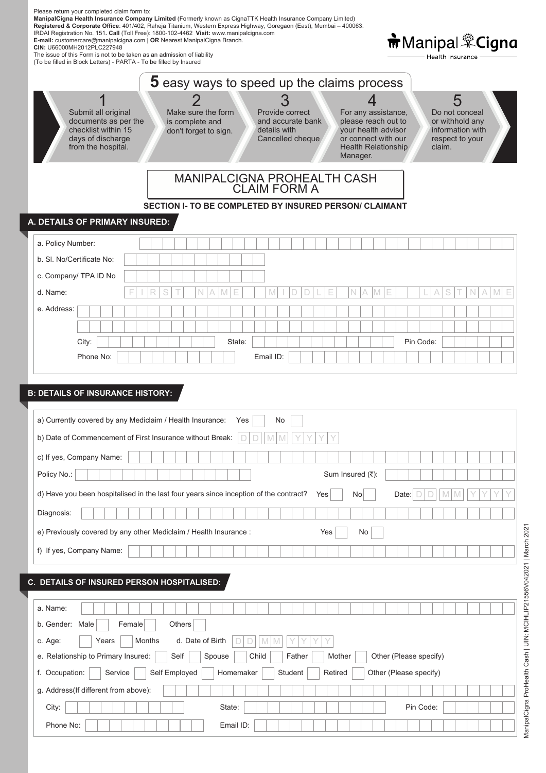| Please return your completed claim form to:<br>ManipalCigna Health Insurance Company Limited (Formerly known as CignaTTK Health Insurance Company Limited)<br>Registered & Corporate Office: 401/402, Raheja Titanium, Western Express Highway, Goregaon (East), Mumbai - 400063.<br>IRDAI Registration No. 151. Call (Toll Free): 1800-102-4462 Visit: www.manipalcigna.com<br>E-mail: customercare@manipalcigna.com   OR Nearest ManipalCigna Branch.<br>CIN: U66000MH2012PLC227948<br>The issue of this Form is not to be taken as an admission of liability<br>(To be filled in Block Letters) - PARTA - To be filled by Insured | <b>市</b> Manipal <sup>樂</sup> Cigna<br>Health Insurance                                                                                                             |
|--------------------------------------------------------------------------------------------------------------------------------------------------------------------------------------------------------------------------------------------------------------------------------------------------------------------------------------------------------------------------------------------------------------------------------------------------------------------------------------------------------------------------------------------------------------------------------------------------------------------------------------|---------------------------------------------------------------------------------------------------------------------------------------------------------------------|
| <b>5</b> easy ways to speed up the claims process                                                                                                                                                                                                                                                                                                                                                                                                                                                                                                                                                                                    |                                                                                                                                                                     |
| Submit all original<br>Make sure the form<br>Provide correct<br>documents as per the<br>and accurate bank<br>is complete and<br>checklist within 15<br>your health advisor<br>details with<br>don't forget to sign.<br>days of discharge<br>Cancelled cheque<br>or connect with our<br>from the hospital.<br>Manager.                                                                                                                                                                                                                                                                                                                | 5<br>For any assistance,<br>Do not conceal<br>please reach out to<br>or withhold any<br>information with<br>respect to your<br><b>Health Relationship</b><br>claim. |
| <b>MANIPALCIGNA PROHEALTH CASH</b><br><b>CLAIM FORM A</b>                                                                                                                                                                                                                                                                                                                                                                                                                                                                                                                                                                            |                                                                                                                                                                     |
| <b>SECTION I- TO BE COMPLETED BY INSURED PERSON/ CLAIMANT</b>                                                                                                                                                                                                                                                                                                                                                                                                                                                                                                                                                                        |                                                                                                                                                                     |
| A. DETAILS OF PRIMARY INSURED:                                                                                                                                                                                                                                                                                                                                                                                                                                                                                                                                                                                                       |                                                                                                                                                                     |
| a. Policy Number:                                                                                                                                                                                                                                                                                                                                                                                                                                                                                                                                                                                                                    |                                                                                                                                                                     |
| b. SI. No/Certificate No:                                                                                                                                                                                                                                                                                                                                                                                                                                                                                                                                                                                                            |                                                                                                                                                                     |
| c. Company/ TPA ID No                                                                                                                                                                                                                                                                                                                                                                                                                                                                                                                                                                                                                |                                                                                                                                                                     |
| d. Name:<br>e. Address:                                                                                                                                                                                                                                                                                                                                                                                                                                                                                                                                                                                                              |                                                                                                                                                                     |
|                                                                                                                                                                                                                                                                                                                                                                                                                                                                                                                                                                                                                                      |                                                                                                                                                                     |
| City:<br>State:                                                                                                                                                                                                                                                                                                                                                                                                                                                                                                                                                                                                                      | Pin Code:                                                                                                                                                           |
| Phone No:<br>Email ID:                                                                                                                                                                                                                                                                                                                                                                                                                                                                                                                                                                                                               |                                                                                                                                                                     |
|                                                                                                                                                                                                                                                                                                                                                                                                                                                                                                                                                                                                                                      |                                                                                                                                                                     |
| <b>B: DETAILS OF INSURANCE HISTORY:</b>                                                                                                                                                                                                                                                                                                                                                                                                                                                                                                                                                                                              |                                                                                                                                                                     |
| a) Currently covered by any Mediclaim / Health Insurance: Yes<br>No.                                                                                                                                                                                                                                                                                                                                                                                                                                                                                                                                                                 |                                                                                                                                                                     |
| b) Date of Commencement of First Insurance without Break:                                                                                                                                                                                                                                                                                                                                                                                                                                                                                                                                                                            |                                                                                                                                                                     |
| c) If yes, Company Name:                                                                                                                                                                                                                                                                                                                                                                                                                                                                                                                                                                                                             |                                                                                                                                                                     |
| Policy No.:<br>Sum Insured (₹):                                                                                                                                                                                                                                                                                                                                                                                                                                                                                                                                                                                                      |                                                                                                                                                                     |
| d) Have you been hospitalised in the last four years since inception of the contract?<br>No<br>Yes                                                                                                                                                                                                                                                                                                                                                                                                                                                                                                                                   | Date:                                                                                                                                                               |
| Diagnosis:                                                                                                                                                                                                                                                                                                                                                                                                                                                                                                                                                                                                                           |                                                                                                                                                                     |
| e) Previously covered by any other Mediclaim / Health Insurance :<br>Yes<br>No                                                                                                                                                                                                                                                                                                                                                                                                                                                                                                                                                       |                                                                                                                                                                     |
| f) If yes, Company Name:                                                                                                                                                                                                                                                                                                                                                                                                                                                                                                                                                                                                             |                                                                                                                                                                     |
|                                                                                                                                                                                                                                                                                                                                                                                                                                                                                                                                                                                                                                      |                                                                                                                                                                     |
| C. DETAILS OF INSURED PERSON HOSPITALISED:                                                                                                                                                                                                                                                                                                                                                                                                                                                                                                                                                                                           |                                                                                                                                                                     |
|                                                                                                                                                                                                                                                                                                                                                                                                                                                                                                                                                                                                                                      |                                                                                                                                                                     |
| a. Name:                                                                                                                                                                                                                                                                                                                                                                                                                                                                                                                                                                                                                             |                                                                                                                                                                     |
| b. Gender: Male<br>Others<br>Female                                                                                                                                                                                                                                                                                                                                                                                                                                                                                                                                                                                                  |                                                                                                                                                                     |
| Months<br>d. Date of Birth<br>c. Age:<br>Years<br>e. Relationship to Primary Insured:<br>Spouse<br>Child<br>Father<br>Mother<br>Self                                                                                                                                                                                                                                                                                                                                                                                                                                                                                                 | Other (Please specify)                                                                                                                                              |
| f. Occupation:<br>Service<br>Self Employed<br>Homemaker<br>Student<br>Retired                                                                                                                                                                                                                                                                                                                                                                                                                                                                                                                                                        | Other (Please specify)                                                                                                                                              |
| g. Address(If different from above):                                                                                                                                                                                                                                                                                                                                                                                                                                                                                                                                                                                                 |                                                                                                                                                                     |
| City:<br>State:                                                                                                                                                                                                                                                                                                                                                                                                                                                                                                                                                                                                                      | Pin Code:                                                                                                                                                           |
| Phone No:<br>Email ID:                                                                                                                                                                                                                                                                                                                                                                                                                                                                                                                                                                                                               |                                                                                                                                                                     |

ManipalCigna ProHealth Cash | UIN: MCIHLIP21556V042021 | March 2021 ManipalCigna ProHealth Cash | UIN: MCIHLIP21556V042021 | March 2021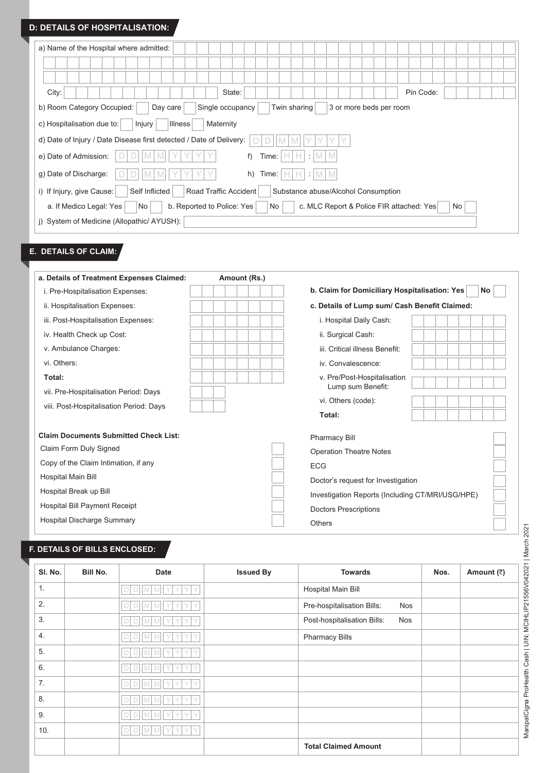#### **D: DETAILS OF HOSPITALISATION:**

| a) Name of the Hospital where admitted:                                                                             |
|---------------------------------------------------------------------------------------------------------------------|
|                                                                                                                     |
|                                                                                                                     |
| City:<br>Pin Code:<br>State:                                                                                        |
| b) Room Category Occupied:<br>Single occupancy<br>Twin sharing<br>Day care<br>3 or more beds per room               |
| c) Hospitalisation due to:<br>Injury<br><b>Illness</b><br>Maternity                                                 |
| d) Date of Injury / Date Disease first detected / Date of Delivery:<br>M                                            |
| e) Date of Admission:<br>f)<br>I M<br>Time:<br>H.<br>HI<br>÷<br>M I                                                 |
| g) Date of Discharge:<br>h)<br>M<br>M<br>M<br>Time:  <br>÷<br>HI<br>H.                                              |
| Road Traffic Accident<br>i) If Injury, give Cause:<br>Self Inflicted<br>Substance abuse/Alcohol Consumption         |
| b. Reported to Police: Yes<br>a. If Medico Legal: Yes<br>c. MLC Report & Police FIR attached: Yes<br>No<br>No<br>No |
| i) System of Medicine (Allopathic/ AYUSH):                                                                          |

# **E. DETAILS OF CLAIM:**

| a. Details of Treatment Expenses Claimed:    | Amount (Rs.) |                                                     |
|----------------------------------------------|--------------|-----------------------------------------------------|
| i. Pre-Hospitalisation Expenses:             |              | b. Claim for Domiciliary Hospitalisation: Yes<br>No |
| ii. Hospitalisation Expenses:                |              | c. Details of Lump sum/ Cash Benefit Claimed:       |
| iii. Post-Hospitalisation Expenses:          |              | i. Hospital Daily Cash:                             |
| iv. Health Check up Cost:                    |              | ii. Surgical Cash:                                  |
| v. Ambulance Charges:                        |              | iii. Critical illness Benefit:                      |
| vi. Others:                                  |              | iv. Convalescence:                                  |
| Total:                                       |              | v. Pre/Post-Hospitalisation                         |
| vii. Pre-Hospitalisation Period: Days        |              | Lump sum Benefit:                                   |
| viii. Post-Hospitalisation Period: Days      |              | vi. Others (code):                                  |
|                                              |              | Total:                                              |
| <b>Claim Documents Submitted Check List:</b> |              | <b>Pharmacy Bill</b>                                |
| Claim Form Duly Signed                       |              | <b>Operation Theatre Notes</b>                      |
| Copy of the Claim Intimation, if any         |              | <b>ECG</b>                                          |
| Hospital Main Bill                           |              | Doctor's request for Investigation                  |
| Hospital Break up Bill                       |              | Investigation Reports (Including CT/MRI/USG/HPE)    |
| Hospital Bill Payment Receipt                |              | <b>Doctors Prescriptions</b>                        |
| Hospital Discharge Summary                   |              | <b>Others</b>                                       |

#### **F.DETAILS OF BILLS ENCLOSED:**

| SI. No. | Bill No. | Date                        | <b>Issued By</b> | <b>Towards</b>                            | Nos. | Amount (₹) |
|---------|----------|-----------------------------|------------------|-------------------------------------------|------|------------|
| 1.      |          | D<br>$\Box$<br>V<br>M<br>M  |                  | <b>Hospital Main Bill</b>                 |      |            |
| 2.      |          |                             |                  | Pre-hospitalisation Bills:<br><b>Nos</b>  |      |            |
| 3.      |          |                             |                  | Post-hospitalisation Bills:<br><b>Nos</b> |      |            |
| 4.      |          | M                           |                  | <b>Pharmacy Bills</b>                     |      |            |
| 5.      |          |                             |                  |                                           |      |            |
| 6.      |          | D<br>M<br>M<br>$\vee$<br>D  |                  |                                           |      |            |
| 7.      |          | D<br>M<br>M<br>$\checkmark$ |                  |                                           |      |            |
| 8.      |          | D<br>M                      |                  |                                           |      |            |
| 9.      |          | M<br>M<br>IY<br>D<br>D      |                  |                                           |      |            |
| 10.     |          | $\Box$<br>MMY<br>D<br>гY    |                  |                                           |      |            |
|         |          |                             |                  | <b>Total Claimed Amount</b>               |      |            |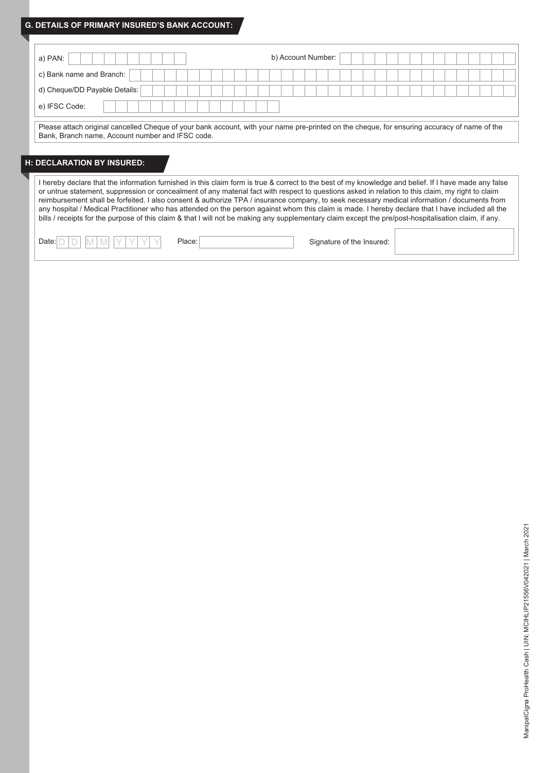#### **G. DETAILS OF PRIMARY INSURED'S BANK ACCOUNT:**

| b) Account Number:<br>a) PAN:                                                                                                                                                                                                                                                                                                                                                                                                                                                                                                                                                                                                                                                                                                                                            |
|--------------------------------------------------------------------------------------------------------------------------------------------------------------------------------------------------------------------------------------------------------------------------------------------------------------------------------------------------------------------------------------------------------------------------------------------------------------------------------------------------------------------------------------------------------------------------------------------------------------------------------------------------------------------------------------------------------------------------------------------------------------------------|
| c) Bank name and Branch:                                                                                                                                                                                                                                                                                                                                                                                                                                                                                                                                                                                                                                                                                                                                                 |
| d) Cheque/DD Payable Details:                                                                                                                                                                                                                                                                                                                                                                                                                                                                                                                                                                                                                                                                                                                                            |
| e) IFSC Code:                                                                                                                                                                                                                                                                                                                                                                                                                                                                                                                                                                                                                                                                                                                                                            |
| Please attach original cancelled Cheque of your bank account, with your name pre-printed on the cheque, for ensuring accuracy of name of the<br>Bank, Branch name, Account number and IFSC code.<br><b>H: DECLARATION BY INSURED:</b>                                                                                                                                                                                                                                                                                                                                                                                                                                                                                                                                    |
| I hereby declare that the information furnished in this claim form is true & correct to the best of my knowledge and belief. If I have made any false<br>or untrue statement, suppression or concealment of any material fact with respect to questions asked in relation to this claim, my right to claim<br>reimbursement shall be forfeited. I also consent & authorize TPA / insurance company, to seek necessary medical information / documents from<br>any hospital / Medical Practitioner who has attended on the person against whom this claim is made. I hereby declare that I have included all the<br>bills / receipts for the purpose of this claim & that I will not be making any supplementary claim except the pre/post-hospitalisation claim, if any. |
| Place:<br>Signature of the Insured:<br>Date:                                                                                                                                                                                                                                                                                                                                                                                                                                                                                                                                                                                                                                                                                                                             |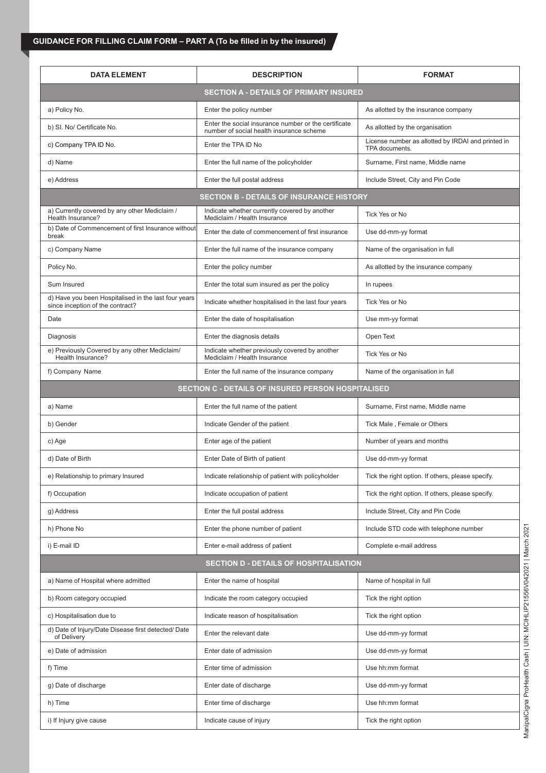# **GUIDANCE FOR FILLING CLAIM FORM – PART A (To be filled in by the insured)**

| <b>DATA ELEMENT</b>                                                                      | <b>DESCRIPTION</b>                                                                               | <b>FORMAT</b>                                                        |  |
|------------------------------------------------------------------------------------------|--------------------------------------------------------------------------------------------------|----------------------------------------------------------------------|--|
|                                                                                          | <b>SECTION A - DETAILS OF PRIMARY INSURED</b>                                                    |                                                                      |  |
| a) Policy No.                                                                            | Enter the policy number                                                                          | As allotted by the insurance company                                 |  |
| b) SI. No/ Certificate No.                                                               | Enter the social insurance number or the certificate<br>number of social health insurance scheme | As allotted by the organisation                                      |  |
| c) Company TPA ID No.                                                                    | Enter the TPA ID No                                                                              | License number as allotted by IRDAI and printed in<br>TPA documents. |  |
| d) Name                                                                                  | Enter the full name of the policyholder                                                          | Surname, First name, Middle name                                     |  |
| e) Address                                                                               | Enter the full postal address                                                                    | Include Street, City and Pin Code                                    |  |
|                                                                                          | <b>SECTION B - DETAILS OF INSURANCE HISTORY</b>                                                  |                                                                      |  |
| a) Currently covered by any other Mediclaim /<br>Health Insurance?                       | Indicate whether currently covered by another<br>Mediclaim / Health Insurance                    | Tick Yes or No                                                       |  |
| b) Date of Commencement of first Insurance without<br>break                              | Enter the date of commencement of first insurance                                                | Use dd-mm-yy format                                                  |  |
| c) Company Name                                                                          | Enter the full name of the insurance company                                                     | Name of the organisation in full                                     |  |
| Policy No.                                                                               | Enter the policy number                                                                          | As allotted by the insurance company                                 |  |
| Sum Insured                                                                              | Enter the total sum insured as per the policy                                                    | In rupees                                                            |  |
| d) Have you been Hospitalised in the last four years<br>since inception of the contract? | Indicate whether hospitalised in the last four years                                             | Tick Yes or No                                                       |  |
| Date                                                                                     | Enter the date of hospitalisation                                                                | Use mm-yy format                                                     |  |
| Diagnosis                                                                                | Enter the diagnosis details                                                                      | Open Text                                                            |  |
| e) Previously Covered by any other Mediclaim/<br>Health Insurance?                       | Indicate whether previously covered by another<br>Mediclaim / Health Insurance                   | Tick Yes or No                                                       |  |
| f) Company Name                                                                          | Enter the full name of the insurance company                                                     | Name of the organisation in full                                     |  |
|                                                                                          | <b>SECTION C - DETAILS OF INSURED PERSON HOSPITALISED</b>                                        |                                                                      |  |
| a) Name                                                                                  | Enter the full name of the patient                                                               | Surname, First name, Middle name                                     |  |
| b) Gender                                                                                | Indicate Gender of the patient                                                                   | Tick Male, Female or Others                                          |  |
| c) Age                                                                                   | Enter age of the patient                                                                         | Number of years and months                                           |  |
| d) Date of Birth                                                                         | Enter Date of Birth of patient                                                                   | Use dd-mm-yy format                                                  |  |
| e) Relationship to primary Insured                                                       | Indicate relationship of patient with policyholder                                               | Tick the right option. If others, please specify.                    |  |
| f) Occupation                                                                            | Indicate occupation of patient                                                                   | Tick the right option. If others, please specify.                    |  |
| g) Address                                                                               | Enter the full postal address                                                                    | Include Street, City and Pin Code                                    |  |
| h) Phone No                                                                              | Enter the phone number of patient                                                                | Include STD code with telephone number                               |  |
| i) E-mail ID                                                                             | Enter e-mail address of patient                                                                  | Complete e-mail address                                              |  |
|                                                                                          | <b>SECTION D - DETAILS OF HOSPITALISATION</b>                                                    |                                                                      |  |
| a) Name of Hospital where admitted                                                       | Enter the name of hospital                                                                       | Name of hospital in full                                             |  |
| b) Room category occupied                                                                | Indicate the room category occupied                                                              | Tick the right option                                                |  |
| c) Hospitalisation due to                                                                | Indicate reason of hospitalisation                                                               | Tick the right option                                                |  |
| d) Date of Injury/Date Disease first detected/ Date<br>of Delivery                       | Enter the relevant date                                                                          | Use dd-mm-yy format                                                  |  |
| e) Date of admission                                                                     | Enter date of admission                                                                          | Use dd-mm-yy format                                                  |  |
| f) Time                                                                                  | Enter time of admission                                                                          | Use hh:mm format                                                     |  |
| g) Date of discharge                                                                     | Enter date of discharge                                                                          | Use dd-mm-yy format                                                  |  |
| h) Time                                                                                  | Enter time of discharge                                                                          | Use hh:mm format                                                     |  |
| i) If Injury give cause                                                                  | Indicate cause of injury                                                                         | Tick the right option                                                |  |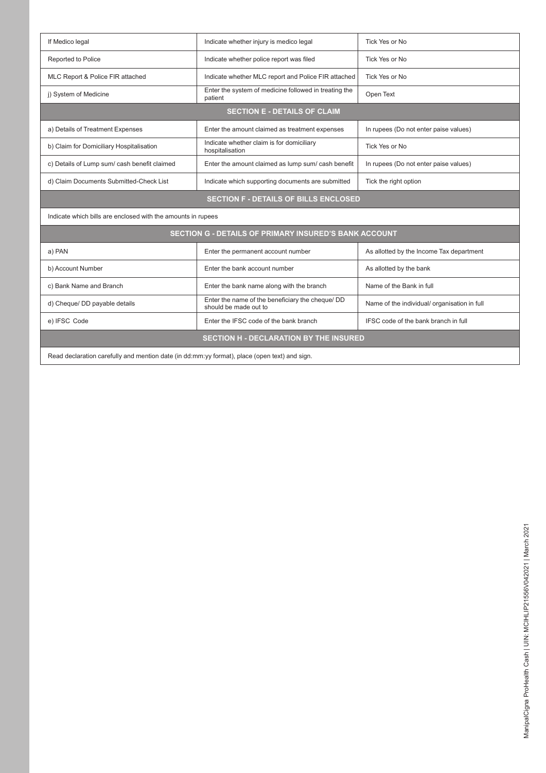| If Medico legal                                              | Indicate whether injury is medico legal<br>Tick Yes or No                 |                                              |
|--------------------------------------------------------------|---------------------------------------------------------------------------|----------------------------------------------|
| Reported to Police                                           | Indicate whether police report was filed                                  | Tick Yes or No                               |
| MLC Report & Police FIR attached                             | Indicate whether MLC report and Police FIR attached                       | Tick Yes or No                               |
| j) System of Medicine                                        | Enter the system of medicine followed in treating the<br>patient          | Open Text                                    |
|                                                              | <b>SECTION E - DETAILS OF CLAIM</b>                                       |                                              |
| a) Details of Treatment Expenses                             | Enter the amount claimed as treatment expenses                            | In rupees (Do not enter paise values)        |
| b) Claim for Domiciliary Hospitalisation                     | Indicate whether claim is for domiciliary<br>hospitalisation              | Tick Yes or No                               |
| c) Details of Lump sum/ cash benefit claimed                 | Enter the amount claimed as lump sum/ cash benefit                        | In rupees (Do not enter paise values)        |
| d) Claim Documents Submitted-Check List                      | Indicate which supporting documents are submitted                         | Tick the right option                        |
|                                                              |                                                                           |                                              |
|                                                              | <b>SECTION F - DETAILS OF BILLS ENCLOSED</b>                              |                                              |
| Indicate which bills are enclosed with the amounts in rupees |                                                                           |                                              |
|                                                              | <b>SECTION G - DETAILS OF PRIMARY INSURED'S BANK ACCOUNT</b>              |                                              |
| a) PAN                                                       | Enter the permanent account number                                        | As allotted by the Income Tax department     |
| b) Account Number                                            | Enter the bank account number                                             | As allotted by the bank                      |
| c) Bank Name and Branch                                      | Enter the bank name along with the branch                                 | Name of the Bank in full                     |
| d) Cheque/ DD payable details                                | Enter the name of the beneficiary the cheque/ DD<br>should be made out to | Name of the individual/ organisation in full |
| e) IFSC Code                                                 | Enter the IFSC code of the bank branch                                    | IFSC code of the bank branch in full         |

Read declaration carefully and mention date (in dd:mm:yy format), place (open text) and sign.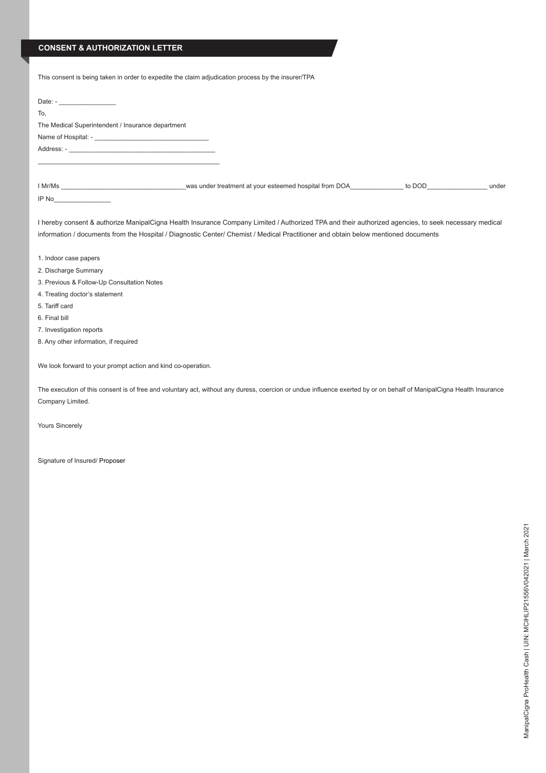#### **CONSENT & AUTHORIZATION LETTER**

| This consent is being taken in order to expedite the claim adjudication process by the insurer/TPA                                                                                                                                                                                         |
|--------------------------------------------------------------------------------------------------------------------------------------------------------------------------------------------------------------------------------------------------------------------------------------------|
| Date: $-$                                                                                                                                                                                                                                                                                  |
| To.                                                                                                                                                                                                                                                                                        |
| The Medical Superintendent / Insurance department                                                                                                                                                                                                                                          |
|                                                                                                                                                                                                                                                                                            |
|                                                                                                                                                                                                                                                                                            |
|                                                                                                                                                                                                                                                                                            |
|                                                                                                                                                                                                                                                                                            |
| IP No                                                                                                                                                                                                                                                                                      |
| I hereby consent & authorize ManipalCigna Health Insurance Company Limited / Authorized TPA and their authorized agencies, to seek necessary medical<br>information / documents from the Hospital / Diagnostic Center/ Chemist / Medical Practitioner and obtain below mentioned documents |
| 1. Indoor case papers                                                                                                                                                                                                                                                                      |
| 2. Discharge Summary                                                                                                                                                                                                                                                                       |
| 3. Previous & Follow-Up Consultation Notes                                                                                                                                                                                                                                                 |

- 4. Treating doctor's statement
- 5. Tariff card
- 6. Final bill
- 7. Investigation reports
- 8. Any other information, if required

We look forward to your prompt action and kind co-operation.

The execution of this consent is of free and voluntary act, without any duress, coercion or undue influence exerted by or on behalf of ManipalCigna Health Insurance Company Limited.

Yours Sincerely

Signature of Insured/ Proposer